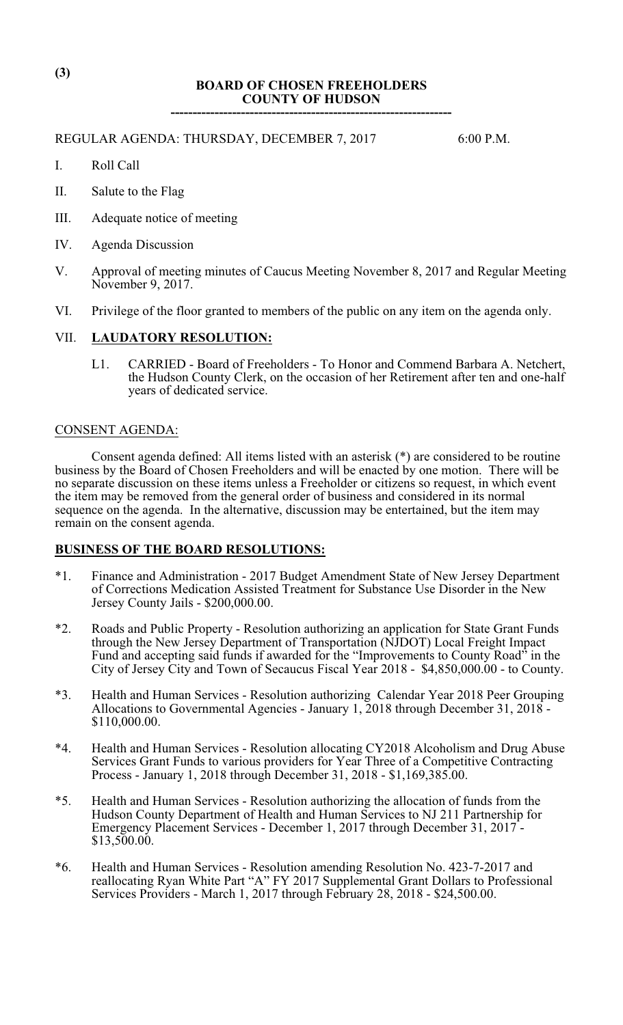# **BOARD OF CHOSEN FREEHOLDERS COUNTY OF HUDSON ----------------------------------------------------------------**

REGULAR AGENDA: THURSDAY, DECEMBER 7, 2017 6:00 P.M.

- I. Roll Call
- II. Salute to the Flag
- III. Adequate notice of meeting
- IV. Agenda Discussion
- V. Approval of meeting minutes of Caucus Meeting November 8, 2017 and Regular Meeting November 9, 2017.
- VI. Privilege of the floor granted to members of the public on any item on the agenda only.

# VII. **LAUDATORY RESOLUTION:**

L1. CARRIED - Board of Freeholders - To Honor and Commend Barbara A. Netchert, the Hudson County Clerk, on the occasion of her Retirement after ten and one-half years of dedicated service.

#### CONSENT AGENDA:

Consent agenda defined: All items listed with an asterisk (\*) are considered to be routine business by the Board of Chosen Freeholders and will be enacted by one motion. There will be no separate discussion on these items unless a Freeholder or citizens so request, in which event the item may be removed from the general order of business and considered in its normal sequence on the agenda. In the alternative, discussion may be entertained, but the item may remain on the consent agenda.

# **BUSINESS OF THE BOARD RESOLUTIONS:**

- \*1. Finance and Administration 2017 Budget Amendment State of New Jersey Department of Corrections Medication Assisted Treatment for Substance Use Disorder in the New Jersey County Jails - \$200,000.00.
- \*2. Roads and Public Property Resolution authorizing an application for State Grant Funds through the New Jersey Department of Transportation (NJDOT) Local Freight Impact Fund and accepting said funds if awarded for the "Improvements to County Road" in the City of Jersey City and Town of Secaucus Fiscal Year 2018 - \$4,850,000.00 - to County.
- \*3. Health and Human Services Resolution authorizing Calendar Year 2018 Peer Grouping Allocations to Governmental Agencies - January 1, 2018 through December 31, 2018 - \$110,000.00.
- \*4. Health and Human Services Resolution allocating CY2018 Alcoholism and Drug Abuse Services Grant Funds to various providers for Year Three of a Competitive Contracting Process - January 1, 2018 through December 31, 2018 - \$1,169,385.00.
- \*5. Health and Human Services Resolution authorizing the allocation of funds from the Hudson County Department of Health and Human Services to NJ 211 Partnership for Emergency Placement Services - December 1, 2017 through December 31, 2017 - \$13,500.00.
- \*6. Health and Human Services Resolution amending Resolution No. 423-7-2017 and reallocating Ryan White Part "A" FY 2017 Supplemental Grant Dollars to Professional Services Providers - March 1, 2017 through February 28, 2018 - \$24,500.00.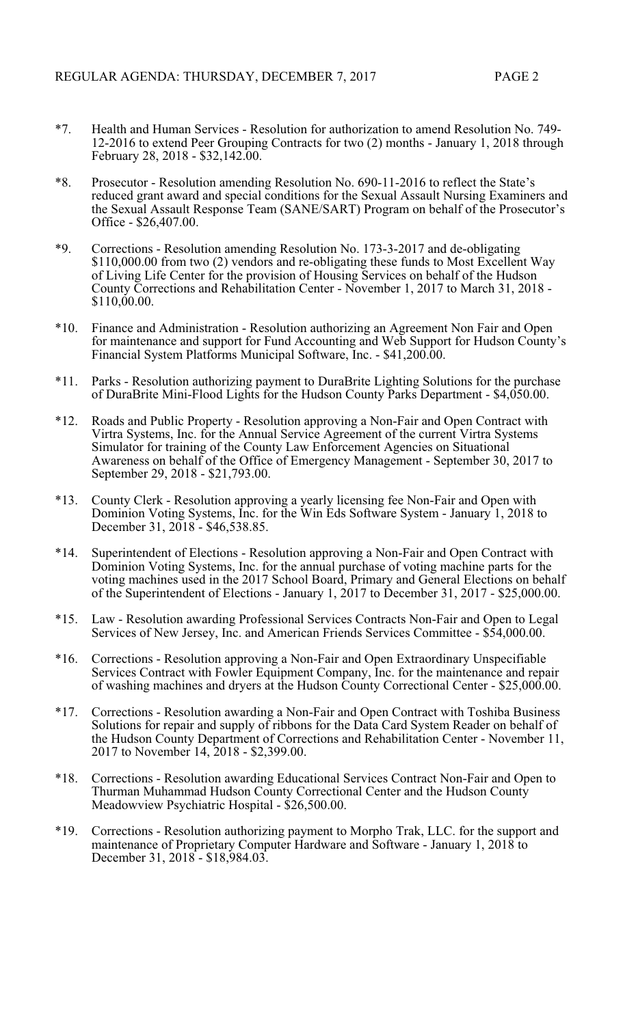- \*7. Health and Human Services Resolution for authorization to amend Resolution No. 749- 12-2016 to extend Peer Grouping Contracts for two (2) months - January 1, 2018 through February 28, 2018 - \$32,142.00.
- \*8. Prosecutor Resolution amending Resolution No. 690-11-2016 to reflect the State's reduced grant award and special conditions for the Sexual Assault Nursing Examiners and the Sexual Assault Response Team (SANE/SART) Program on behalf of the Prosecutor's Office - \$26,407.00.
- \*9. Corrections Resolution amending Resolution No. 173-3-2017 and de-obligating \$110,000.00 from two (2) vendors and re-obligating these funds to Most Excellent Way of Living Life Center for the provision of Housing Services on behalf of the Hudson County Corrections and Rehabilitation Center - November 1, 2017 to March 31, 2018 -  $$110,00.00.$
- \*10. Finance and Administration Resolution authorizing an Agreement Non Fair and Open for maintenance and support for Fund Accounting and Web Support for Hudson County's Financial System Platforms Municipal Software, Inc. - \$41,200.00.
- \*11. Parks Resolution authorizing payment to DuraBrite Lighting Solutions for the purchase of DuraBrite Mini-Flood Lights for the Hudson County Parks Department - \$4,050.00.
- \*12. Roads and Public Property Resolution approving a Non-Fair and Open Contract with Virtra Systems, Inc. for the Annual Service Agreement of the current Virtra Systems Simulator for training of the County Law Enforcement Agencies on Situational Awareness on behalf of the Office of Emergency Management - September 30, 2017 to September 29, 2018 - \$21,793.00.
- \*13. County Clerk Resolution approving a yearly licensing fee Non-Fair and Open with Dominion Voting Systems, Inc. for the Win Eds Software System - January 1, 2018 to December 31, 2018 - \$46,538.85.
- \*14. Superintendent of Elections Resolution approving a Non-Fair and Open Contract with Dominion Voting Systems, Inc. for the annual purchase of voting machine parts for the voting machines used in the 2017 School Board, Primary and General Elections on behalf of the Superintendent of Elections - January 1, 2017 to December 31, 2017 - \$25,000.00.
- \*15. Law Resolution awarding Professional Services Contracts Non-Fair and Open to Legal Services of New Jersey, Inc. and American Friends Services Committee - \$54,000.00.
- \*16. Corrections Resolution approving a Non-Fair and Open Extraordinary Unspecifiable Services Contract with Fowler Equipment Company, Inc. for the maintenance and repair of washing machines and dryers at the Hudson County Correctional Center - \$25,000.00.
- \*17. Corrections Resolution awarding a Non-Fair and Open Contract with Toshiba Business Solutions for repair and supply of ribbons for the Data Card System Reader on behalf of the Hudson County Department of Corrections and Rehabilitation Center - November 11, 2017 to November 14, 2018 - \$2,399.00.
- \*18. Corrections Resolution awarding Educational Services Contract Non-Fair and Open to Thurman Muhammad Hudson County Correctional Center and the Hudson County Meadowview Psychiatric Hospital - \$26,500.00.
- \*19. Corrections Resolution authorizing payment to Morpho Trak, LLC. for the support and maintenance of Proprietary Computer Hardware and Software - January 1, 2018 to December 31, 2018 - \$18,984.03.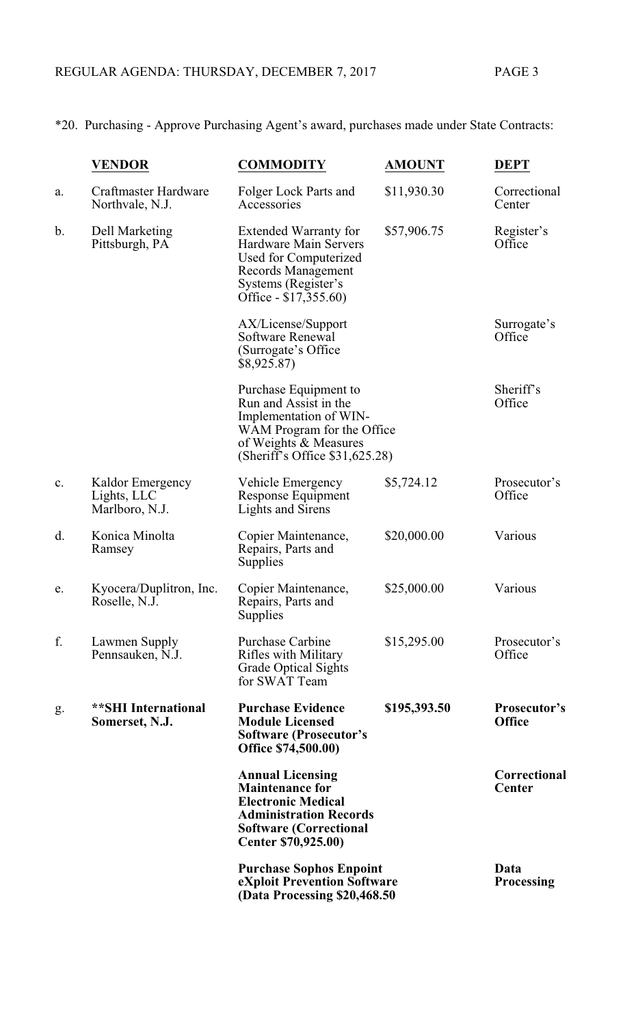\*20. Purchasing - Approve Purchasing Agent's award, purchases made under State Contracts:

|    | <b>VENDOR</b>                                     | <b>COMMODITY</b>                                                                                                                                                        | <b>AMOUNT</b> | <b>DEPT</b>                   |
|----|---------------------------------------------------|-------------------------------------------------------------------------------------------------------------------------------------------------------------------------|---------------|-------------------------------|
| a. | <b>Craftmaster Hardware</b><br>Northvale, N.J.    | Folger Lock Parts and<br>Accessories                                                                                                                                    | \$11,930.30   | Correctional<br>Center        |
| b. | Dell Marketing<br>Pittsburgh, PA                  | <b>Extended Warranty for</b><br><b>Hardware Main Servers</b><br>Used for Computerized<br>Records Management<br>Systems (Register's<br>Office - \$17,355.60)             | \$57,906.75   | Register's<br>Office          |
|    |                                                   | AX/License/Support<br>Software Renewal<br>(Surrogate's Office<br>\$8,925.87                                                                                             |               | Surrogate's<br>Office         |
|    |                                                   | Purchase Equipment to<br>Run and Assist in the<br>Implementation of WIN-<br>WAM Program for the Office<br>of Weights & Measures<br>(Sheriff's Office $$31,625.28$ )     |               | Sheriff's<br>Office           |
| c. | Kaldor Emergency<br>Lights, LLC<br>Marlboro, N.J. | Vehicle Emergency<br>Response Equipment<br>Lights and Sirens                                                                                                            | \$5,724.12    | Prosecutor's<br>Office        |
| d. | Konica Minolta<br>Ramsey                          | Copier Maintenance,<br>Repairs, Parts and<br>Supplies                                                                                                                   | \$20,000.00   | Various                       |
| e. | Kyocera/Duplitron, Inc.<br>Roselle, N.J.          | Copier Maintenance,<br>Repairs, Parts and<br>Supplies                                                                                                                   | \$25,000.00   | Various                       |
| f. | Lawmen Supply<br>Pennsauken, N.J.                 | <b>Purchase Carbine</b><br>Rifles with Military<br><b>Grade Optical Sights</b><br>for SWAT Team                                                                         | \$15,295.00   | Prosecutor's<br>Office        |
| g. | **SHI International<br>Somerset, N.J.             | <b>Purchase Evidence</b><br><b>Module Licensed</b><br><b>Software (Prosecutor's</b><br>Office \$74,500.00)                                                              | \$195,393.50  | Prosecutor's<br><b>Office</b> |
|    |                                                   | <b>Annual Licensing</b><br><b>Maintenance for</b><br><b>Electronic Medical</b><br><b>Administration Records</b><br><b>Software (Correctional</b><br>Center \$70,925.00) |               | Correctional<br>Center        |
|    |                                                   | <b>Purchase Sophos Enpoint</b><br>eXploit Prevention Software<br>(Data Processing \$20,468.50)                                                                          |               | Data<br><b>Processing</b>     |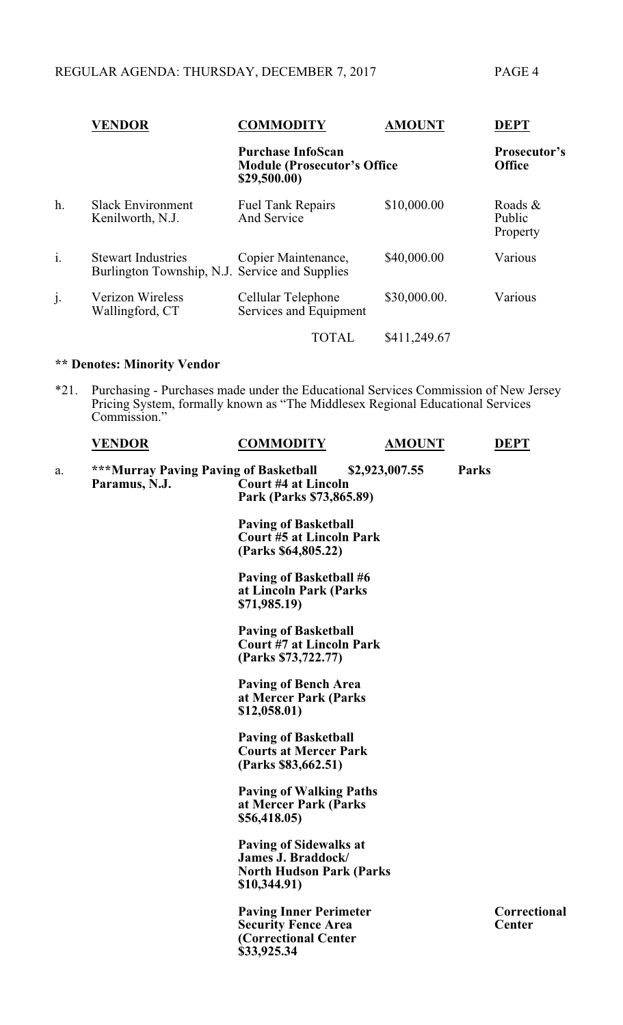|                | <b>VENDOR</b>                                                                  | <b>COMMODITY</b>                             | <b>AMOUNT</b>                        | <b>DEPT</b>                   |
|----------------|--------------------------------------------------------------------------------|----------------------------------------------|--------------------------------------|-------------------------------|
|                | <b>Purchase InfoScan</b><br><b>Module (Prosecutor's Office</b><br>\$29,500.00) |                                              | <b>Prosecutor's</b><br><b>Office</b> |                               |
| h.             | <b>Slack Environment</b><br>Kenilworth, N.J.                                   | <b>Fuel Tank Repairs</b><br>And Service      | \$10,000.00                          | Roads &<br>Public<br>Property |
| $\mathbf{i}$ . | <b>Stewart Industries</b><br>Burlington Township, N.J. Service and Supplies    | Copier Maintenance,                          | \$40,000.00                          | Various                       |
| j.             | <b>Verizon Wireless</b><br>Wallingford, CT                                     | Cellular Telephone<br>Services and Equipment | \$30,000.00.                         | Various                       |
|                |                                                                                | <b>TOTAL</b>                                 | \$411,249.67                         |                               |

#### **\*\* Denotes: Minority Vendor**

\*21. Purchasing - Purchases made under the Educational Services Commission of New Jersey Pricing System, formally known as "The Middlesex Regional Educational Services Commission."

| <b>VENDOR</b> | COMMODITY | MOUNT<br>А | $DEP^{\pi}$ |
|---------------|-----------|------------|-------------|
|               |           |            |             |

a. **\*\*\*Murray Paving Paving of Basketball \$2,923,007.55 Parks Court #4 at Lincoln Park (Parks \$73,865.89)**

> **Paving of Basketball Court #5 at Lincoln Park (Parks \$64,805.22)**

**Paving of Basketball #6 at Lincoln Park (Parks \$71,985.19)**

**Paving of Basketball Court #7 at Lincoln Park (Parks \$73,722.77)**

**Paving of Bench Area at Mercer Park (Parks \$12,058.01)**

**Paving of Basketball Courts at Mercer Park (Parks \$83,662.51)**

**Paving of Walking Paths at Mercer Park (Parks \$56,418.05)**

**Paving of Sidewalks at James J. Braddock/ North Hudson Park (Parks \$10,344.91)**

**Paving Inner Perimeter Correctional Security Fence Area Center (Correctional Center \$33,925.34**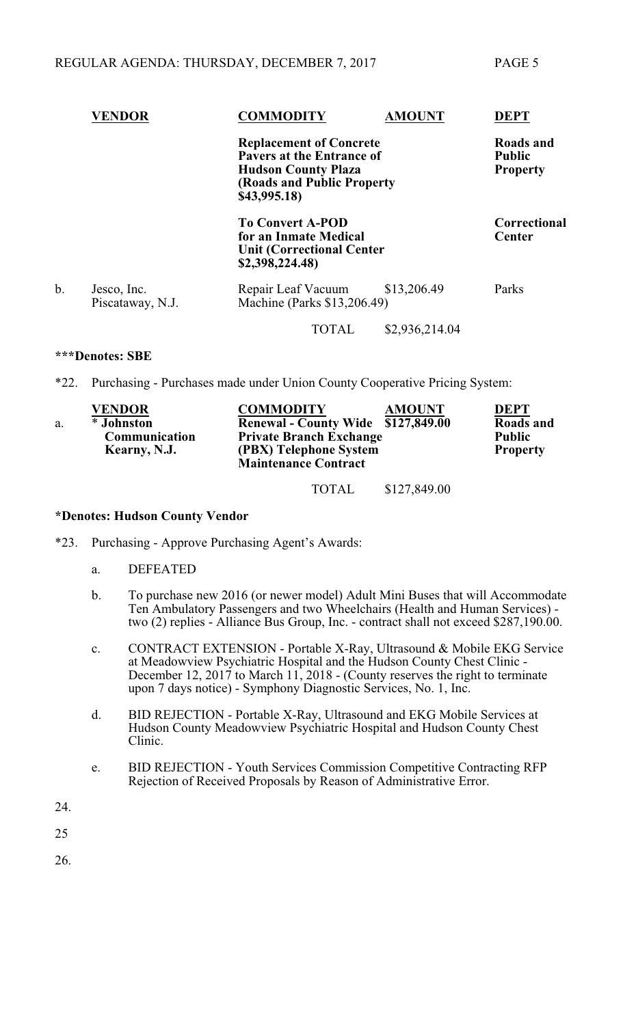|    | <b>VENDOR</b>                   | COMMODITY                                                                                               | <b>AMOUNT</b>                                                                                                                          | <b>DEPT</b>                          |
|----|---------------------------------|---------------------------------------------------------------------------------------------------------|----------------------------------------------------------------------------------------------------------------------------------------|--------------------------------------|
|    |                                 | \$43,995.18)                                                                                            | <b>Replacement of Concrete</b><br><b>Pavers at the Entrance of</b><br><b>Hudson County Plaza</b><br><b>(Roads and Public Property)</b> |                                      |
|    |                                 | <b>To Convert A-POD</b><br>for an Inmate Medical<br><b>Unit (Correctional Center</b><br>\$2,398,224.48) |                                                                                                                                        | <b>Correctional</b><br><b>Center</b> |
| b. | Jesco, Inc.<br>Piscataway, N.J. | Repair Leaf Vacuum<br>Machine (Parks \$13,206.49)                                                       | \$13,206.49                                                                                                                            | Parks                                |
|    |                                 | TOTAL                                                                                                   | \$2,936,214.04                                                                                                                         |                                      |

# **\*\*\*Denotes: SBE**

\*22. Purchasing - Purchases made under Union County Cooperative Pricing System:

|    | <b>VENDOR</b> | <b>COMMODITY</b><br><b>AMOUNT</b>  | <b>DEPT</b>     |
|----|---------------|------------------------------------|-----------------|
| a. | * Johnston    | Renewal - County Wide \$127,849.00 | Roads and       |
|    | Communication | <b>Private Branch Exchange</b>     | <b>Public</b>   |
|    | Kearny, N.J.  | (PBX) Telephone System             | <b>Property</b> |
|    |               | <b>Maintenance Contract</b>        |                 |
|    |               |                                    |                 |

TOTAL \$127,849.00

# **\*Denotes: Hudson County Vendor**

- \*23. Purchasing Approve Purchasing Agent's Awards:
	- a. DEFEATED
	- b. To purchase new 2016 (or newer model) Adult Mini Buses that will Accommodate Ten Ambulatory Passengers and two Wheelchairs (Health and Human Services) two (2) replies - Alliance Bus Group, Inc. - contract shall not exceed \$287,190.00.
	- c. CONTRACT EXTENSION Portable X-Ray, Ultrasound & Mobile EKG Service at Meadowview Psychiatric Hospital and the Hudson County Chest Clinic - December 12, 2017 to March 11, 2018 - (County reserves the right to terminate upon 7 days notice) - Symphony Diagnostic Services, No. 1, Inc.
	- d. BID REJECTION Portable X-Ray, Ultrasound and EKG Mobile Services at Hudson County Meadowview Psychiatric Hospital and Hudson County Chest Clinic.
	- e. BID REJECTION Youth Services Commission Competitive Contracting RFP Rejection of Received Proposals by Reason of Administrative Error.
- 24.

25

26.